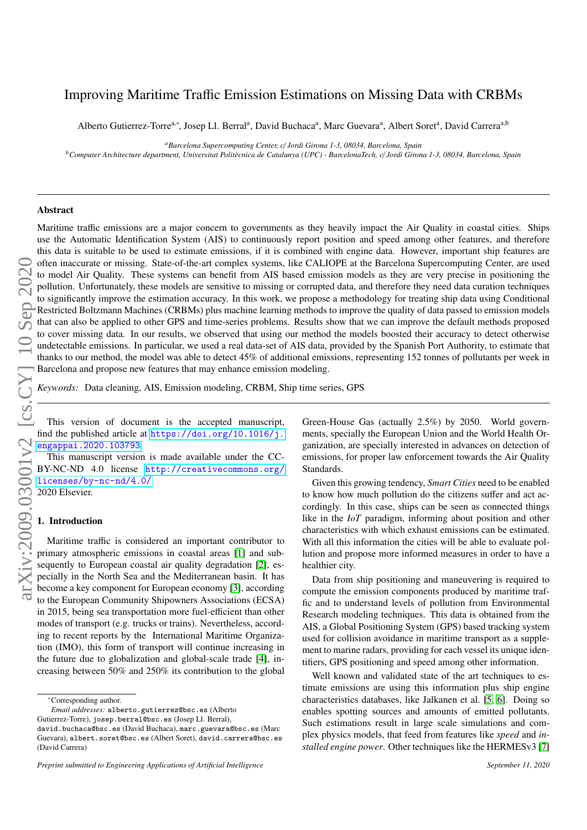# Improving Maritime Traffic Emission Estimations on Missing Data with CRBMs

Alberto Gutierrez-Torre<sup>a,∗</sup>, Josep Ll. Berral<sup>a</sup>, David Buchaca<sup>a</sup>, Marc Guevara<sup>a</sup>, Albert Soret<sup>a</sup>, David Carrera<sup>a,b</sup>

*<sup>a</sup>Barcelona Supercomputing Center, c*/ *Jordi Girona 1-3, 08034, Barcelona, Spain*

*<sup>b</sup>Computer Architecture department, Universitat Polit`ecnica de Catalunya (UPC) - BarcelonaTech, c*/ *Jordi Girona 1-3, 08034, Barcelona, Spain*

# Abstract

arXiv:2009.03001v2 [cs.CY] 10 Sep 2020

Maritime traffic emissions are a major concern to governments as they heavily impact the Air Quality in coastal cities. Ships use the Automatic Identification System (AIS) to continuously report position and speed among other features, and therefore this data is suitable to be used to estimate emissions, if it is combined with engine data. However, important ship features are often inaccurate or missing. State-of-the-art complex systems, like CALIOPE at the Barcelona Supercomputing Center, are used to model Air Quality. These systems can benefit from AIS based emission models as they are very precise in positioning the pollution. Unfortunately, these models are sensitive to missing or corrupted data, and therefore they need data curation techniques to significantly improve the estimation accuracy. In this work, we propose a methodology for treating ship data using Conditional Restricted Boltzmann Machines (CRBMs) plus machine learning methods to improve the quality of data passed to emission models that can also be applied to other GPS and time-series problems. Results show that we can improve the default methods proposed to cover missing data. In our results, we observed that using our method the models boosted their accuracy to detect otherwise undetectable emissions. In particular, we used a real data-set of AIS data, provided by the Spanish Port Authority, to estimate that thanks to our method, the model was able to detect 45% of additional emissions, representing 152 tonnes of pollutants per week in Barcelona and propose new features that may enhance emission modeling.

*Keywords:* Data cleaning, AIS, Emission modeling, CRBM, Ship time series, GPS

This version of document is the accepted manuscript, find the published article at [https://doi.org/10.1016/j.](https://doi.org/10.1016/j.engappai.2020.103793) [engappai.2020.103793](https://doi.org/10.1016/j.engappai.2020.103793).

This manuscript version is made available under the CC-BY-NC-ND 4.0 license [http://creativecommons.org/](http://creativecommons.org/licenses/by-nc-nd/4.0/) [licenses/by-nc-nd/4.0/](http://creativecommons.org/licenses/by-nc-nd/4.0/) 2020 Elsevier.

# 1. Introduction

Maritime traffic is considered an important contributor to primary atmospheric emissions in coastal areas [\[1\]](#page-9-0) and subsequently to European coastal air quality degradation [\[2\]](#page-9-1), especially in the North Sea and the Mediterranean basin. It has become a key component for European economy [\[3\]](#page-9-2), according to the European Community Shipowners Associations (ECSA) in 2015, being sea transportation more fuel-efficient than other modes of transport (e.g. trucks or trains). Nevertheless, according to recent reports by the International Maritime Organization (IMO), this form of transport will continue increasing in the future due to globalization and global-scale trade [\[4\]](#page-9-3), increasing between 50% and 250% its contribution to the global Green-House Gas (actually 2.5%) by 2050. World govern-ments, specially the European Union and the World Health Organization, are specially interested in advances on detection of emissions, for proper law enforcement towards the Air Quality Standards.

Given this growing tendency, *Smart Cities* need to be enabled to know how much pollution do the citizens suffer and act accordingly. In this case, ships can be seen as connected things like in the *IoT* paradigm, informing about position and other characteristics with which exhaust emissions can be estimated. With all this information the cities will be able to evaluate pollution and propose more informed measures in order to have a healthier city.

Data from ship positioning and maneuvering is required to compute the emission components produced by maritime traffic and to understand levels of pollution from Environmental Research modeling techniques. This data is obtained from the AIS, a Global Positioning System (GPS) based tracking system used for collision avoidance in maritime transport as a supplement to marine radars, providing for each vessel its unique identifiers, GPS positioning and speed among other information.

Well known and validated state of the art techniques to estimate emissions are using this information plus ship engine characteristics databases, like Jalkanen et al. [\[5,](#page-9-4) [6\]](#page-9-5). Doing so enables spotting sources and amounts of emitted pollutants. Such estimations result in large scale simulations and complex physics models, that feed from features like *speed* and *installed engine power*. Other techniques like the HERMESv3 [\[7\]](#page-9-6)

<sup>∗</sup>Corresponding author.

*Email addresses:* alberto.gutierrez@bsc.es (Alberto

Gutierrez-Torre), josep.berral@bsc.es (Josep Ll. Berral),

david.buchaca@bsc.es (David Buchaca), marc.guevara@bsc.es (Marc Guevara), albert.soret@bsc.es (Albert Soret), david.carrera@bsc.es (David Carrera)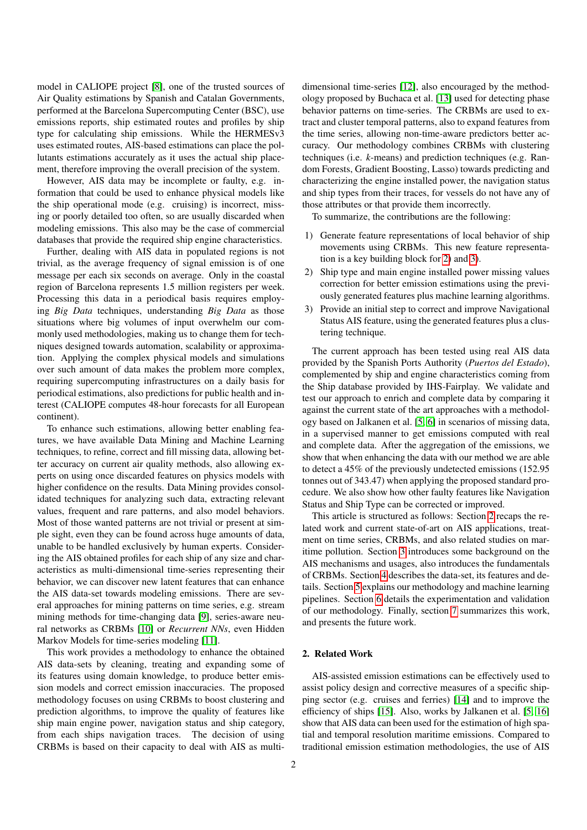model in CALIOPE project [\[8\]](#page-9-7), one of the trusted sources of Air Quality estimations by Spanish and Catalan Governments, performed at the Barcelona Supercomputing Center (BSC), use emissions reports, ship estimated routes and profiles by ship type for calculating ship emissions. While the HERMESv3 uses estimated routes, AIS-based estimations can place the pollutants estimations accurately as it uses the actual ship placement, therefore improving the overall precision of the system.

However, AIS data may be incomplete or faulty, e.g. information that could be used to enhance physical models like the ship operational mode (e.g. cruising) is incorrect, missing or poorly detailed too often, so are usually discarded when modeling emissions. This also may be the case of commercial databases that provide the required ship engine characteristics.

Further, dealing with AIS data in populated regions is not trivial, as the average frequency of signal emission is of one message per each six seconds on average. Only in the coastal region of Barcelona represents 1.5 million registers per week. Processing this data in a periodical basis requires employing *Big Data* techniques, understanding *Big Data* as those situations where big volumes of input overwhelm our commonly used methodologies, making us to change them for techniques designed towards automation, scalability or approximation. Applying the complex physical models and simulations over such amount of data makes the problem more complex, requiring supercomputing infrastructures on a daily basis for periodical estimations, also predictions for public health and interest (CALIOPE computes 48-hour forecasts for all European continent).

To enhance such estimations, allowing better enabling features, we have available Data Mining and Machine Learning techniques, to refine, correct and fill missing data, allowing better accuracy on current air quality methods, also allowing experts on using once discarded features on physics models with higher confidence on the results. Data Mining provides consolidated techniques for analyzing such data, extracting relevant values, frequent and rare patterns, and also model behaviors. Most of those wanted patterns are not trivial or present at simple sight, even they can be found across huge amounts of data, unable to be handled exclusively by human experts. Considering the AIS obtained profiles for each ship of any size and characteristics as multi-dimensional time-series representing their behavior, we can discover new latent features that can enhance the AIS data-set towards modeling emissions. There are several approaches for mining patterns on time series, e.g. stream mining methods for time-changing data [\[9\]](#page-9-8), series-aware neural networks as CRBMs [\[10\]](#page-9-9) or *Recurrent NNs*, even Hidden Markov Models for time-series modeling [\[11\]](#page-9-10).

This work provides a methodology to enhance the obtained AIS data-sets by cleaning, treating and expanding some of its features using domain knowledge, to produce better emission models and correct emission inaccuracies. The proposed methodology focuses on using CRBMs to boost clustering and prediction algorithms, to improve the quality of features like ship main engine power, navigation status and ship category, from each ships navigation traces. The decision of using CRBMs is based on their capacity to deal with AIS as multi-

dimensional time-series [\[12\]](#page-9-11), also encouraged by the methodology proposed by Buchaca et al. [\[13\]](#page-9-12) used for detecting phase behavior patterns on time-series. The CRBMs are used to extract and cluster temporal patterns, also to expand features from the time series, allowing non-time-aware predictors better accuracy. Our methodology combines CRBMs with clustering techniques (i.e. *k*-means) and prediction techniques (e.g. Random Forests, Gradient Boosting, Lasso) towards predicting and characterizing the engine installed power, the navigation status and ship types from their traces, for vessels do not have any of those attributes or that provide them incorrectly.

To summarize, the contributions are the following:

- 1) Generate feature representations of local behavior of ship movements using CRBMs. This new feature representation is a key building block for [2\)](#page-1-0) and [3\)](#page-1-1).
- <span id="page-1-0"></span>2) Ship type and main engine installed power missing values correction for better emission estimations using the previously generated features plus machine learning algorithms.
- <span id="page-1-1"></span>3) Provide an initial step to correct and improve Navigational Status AIS feature, using the generated features plus a clustering technique.

The current approach has been tested using real AIS data provided by the Spanish Ports Authority (*Puertos del Estado*), complemented by ship and engine characteristics coming from the Ship database provided by IHS-Fairplay. We validate and test our approach to enrich and complete data by comparing it against the current state of the art approaches with a methodology based on Jalkanen et al. [\[5,](#page-9-4) [6\]](#page-9-5) in scenarios of missing data, in a supervised manner to get emissions computed with real and complete data. After the aggregation of the emissions, we show that when enhancing the data with our method we are able to detect a 45% of the previously undetected emissions (152.95 tonnes out of 343.47) when applying the proposed standard procedure. We also show how other faulty features like Navigation Status and Ship Type can be corrected or improved.

This article is structured as follows: Section [2](#page-1-2) recaps the related work and current state-of-art on AIS applications, treatment on time series, CRBMs, and also related studies on maritime pollution. Section [3](#page-2-0) introduces some background on the AIS mechanisms and usages, also introduces the fundamentals of CRBMs. Section [4](#page-3-0) describes the data-set, its features and details. Section [5](#page-5-0) explains our methodology and machine learning pipelines. Section [6](#page-6-0) details the experimentation and validation of our methodology. Finally, section [7](#page-8-0) summarizes this work, and presents the future work.

# <span id="page-1-2"></span>2. Related Work

AIS-assisted emission estimations can be effectively used to assist policy design and corrective measures of a specific shipping sector (e.g. cruises and ferries) [\[14\]](#page-9-13) and to improve the efficiency of ships [\[15\]](#page-9-14). Also, works by Jalkanen et al. [\[5,](#page-9-4) [16\]](#page-9-15) show that AIS data can been used for the estimation of high spatial and temporal resolution maritime emissions. Compared to traditional emission estimation methodologies, the use of AIS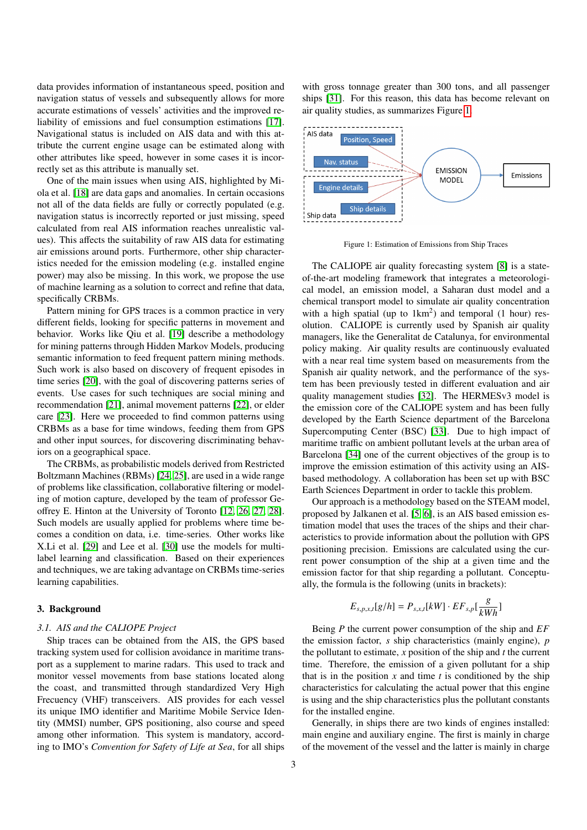data provides information of instantaneous speed, position and navigation status of vessels and subsequently allows for more accurate estimations of vessels' activities and the improved reliability of emissions and fuel consumption estimations [\[17\]](#page-9-16). Navigational status is included on AIS data and with this attribute the current engine usage can be estimated along with other attributes like speed, however in some cases it is incorrectly set as this attribute is manually set.

One of the main issues when using AIS, highlighted by Miola et al. [\[18\]](#page-9-17) are data gaps and anomalies. In certain occasions not all of the data fields are fully or correctly populated (e.g. navigation status is incorrectly reported or just missing, speed calculated from real AIS information reaches unrealistic values). This affects the suitability of raw AIS data for estimating air emissions around ports. Furthermore, other ship characteristics needed for the emission modeling (e.g. installed engine power) may also be missing. In this work, we propose the use of machine learning as a solution to correct and refine that data, specifically CRBMs.

Pattern mining for GPS traces is a common practice in very different fields, looking for specific patterns in movement and behavior. Works like Qiu et al. [\[19\]](#page-9-18) describe a methodology for mining patterns through Hidden Markov Models, producing semantic information to feed frequent pattern mining methods. Such work is also based on discovery of frequent episodes in time series [\[20\]](#page-9-19), with the goal of discovering patterns series of events. Use cases for such techniques are social mining and recommendation [\[21\]](#page-9-20), animal movement patterns [\[22\]](#page-9-21), or elder care [\[23\]](#page-9-22). Here we proceeded to find common patterns using CRBMs as a base for time windows, feeding them from GPS and other input sources, for discovering discriminating behaviors on a geographical space.

The CRBMs, as probabilistic models derived from Restricted Boltzmann Machines (RBMs) [\[24,](#page-9-23) [25\]](#page-9-24), are used in a wide range of problems like classification, collaborative filtering or modeling of motion capture, developed by the team of professor Geoffrey E. Hinton at the University of Toronto [\[12,](#page-9-11) [26,](#page-9-25) [27,](#page-9-26) [28\]](#page-9-27). Such models are usually applied for problems where time becomes a condition on data, i.e. time-series. Other works like X.Li et al. [\[29\]](#page-10-0) and Lee et al. [\[30\]](#page-10-1) use the models for multilabel learning and classification. Based on their experiences and techniques, we are taking advantage on CRBMs time-series learning capabilities.

## <span id="page-2-0"></span>3. Background

#### *3.1. AIS and the CALIOPE Project*

Ship traces can be obtained from the AIS, the GPS based tracking system used for collision avoidance in maritime transport as a supplement to marine radars. This used to track and monitor vessel movements from base stations located along the coast, and transmitted through standardized Very High Frecuency (VHF) transceivers. AIS provides for each vessel its unique IMO identifier and Maritime Mobile Service Identity (MMSI) number, GPS positioning, also course and speed among other information. This system is mandatory, according to IMO's *Convention for Safety of Life at Sea*, for all ships

with gross tonnage greater than 300 tons, and all passenger ships [\[31\]](#page-10-2). For this reason, this data has become relevant on air quality studies, as summarizes Figure [1.](#page-2-1)



<span id="page-2-1"></span>Figure 1: Estimation of Emissions from Ship Traces

The CALIOPE air quality forecasting system [\[8\]](#page-9-7) is a stateof-the-art modeling framework that integrates a meteorological model, an emission model, a Saharan dust model and a chemical transport model to simulate air quality concentration with a high spatial (up to  $1 \text{ km}^2$ ) and temporal (1 hour) resolution. CALIOPE is currently used by Spanish air quality managers, like the Generalitat de Catalunya, for environmental policy making. Air quality results are continuously evaluated with a near real time system based on measurements from the Spanish air quality network, and the performance of the system has been previously tested in different evaluation and air quality management studies [\[32\]](#page-10-3). The HERMESv3 model is the emission core of the CALIOPE system and has been fully developed by the Earth Science department of the Barcelona Supercomputing Center (BSC) [\[33\]](#page-10-4). Due to high impact of maritime traffic on ambient pollutant levels at the urban area of Barcelona [\[34\]](#page-10-5) one of the current objectives of the group is to improve the emission estimation of this activity using an AISbased methodology. A collaboration has been set up with BSC Earth Sciences Department in order to tackle this problem.

Our approach is a methodology based on the STEAM model, proposed by Jalkanen et al. [\[5,](#page-9-4) [6\]](#page-9-5), is an AIS based emission estimation model that uses the traces of the ships and their characteristics to provide information about the pollution with GPS positioning precision. Emissions are calculated using the current power consumption of the ship at a given time and the emission factor for that ship regarding a pollutant. Conceptually, the formula is the following (units in brackets):

$$
E_{s,p,x,t}[g/h] = P_{s,x,t}[kW] \cdot EF_{s,p}[\frac{g}{kWh}]
$$

Being *P* the current power consumption of the ship and *EF* the emission factor, *s* ship characteristics (mainly engine), *p* the pollutant to estimate, *x* position of the ship and *t* the current time. Therefore, the emission of a given pollutant for a ship that is in the position  $x$  and time  $t$  is conditioned by the ship characteristics for calculating the actual power that this engine is using and the ship characteristics plus the pollutant constants for the installed engine.

Generally, in ships there are two kinds of engines installed: main engine and auxiliary engine. The first is mainly in charge of the movement of the vessel and the latter is mainly in charge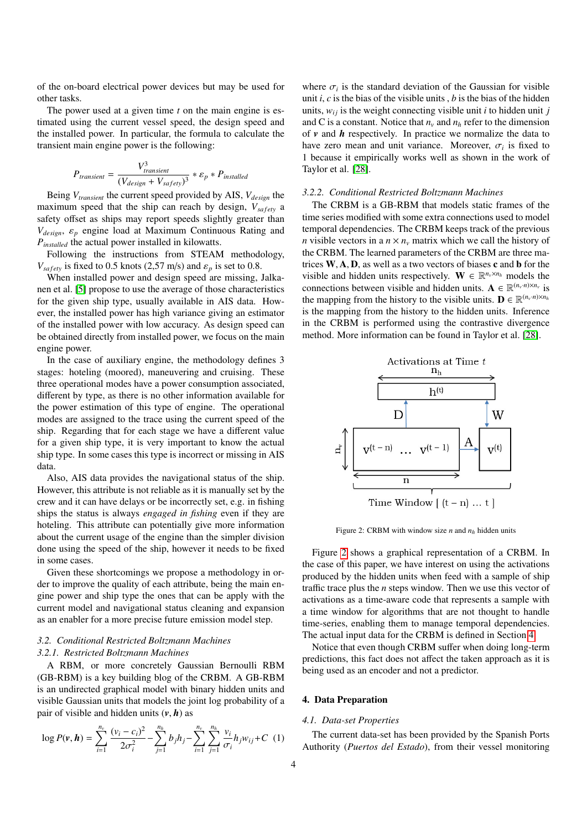of the on-board electrical power devices but may be used for other tasks.

The power used at a given time *t* on the main engine is estimated using the current vessel speed, the design speed and the installed power. In particular, the formula to calculate the transient main engine power is the following:

$$
P_{transient} = \frac{V_{transient}^3}{(V_{design} + V_{safety})^3} * \varepsilon_p * P_{installed}
$$

Being *Vtransient* the current speed provided by AIS, *Vdesign* the maximum speed that the ship can reach by design,  $V_{\text{safe}}$  a safety offset as ships may report speeds slightly greater than *<sup>V</sup>design*, <sup>ε</sup>*<sup>p</sup>* engine load at Maximum Continuous Rating and *Pinstalled* the actual power installed in kilowatts.

Following the instructions from STEAM methodology,  $V_{\text{safe}}$  is fixed to 0.5 knots (2,57 m/s) and  $\varepsilon_p$  is set to 0.8.

When installed power and design speed are missing, Jalkanen et al. [\[5\]](#page-9-4) propose to use the average of those characteristics for the given ship type, usually available in AIS data. However, the installed power has high variance giving an estimator of the installed power with low accuracy. As design speed can be obtained directly from installed power, we focus on the main engine power.

In the case of auxiliary engine, the methodology defines 3 stages: hoteling (moored), maneuvering and cruising. These three operational modes have a power consumption associated, different by type, as there is no other information available for the power estimation of this type of engine. The operational modes are assigned to the trace using the current speed of the ship. Regarding that for each stage we have a different value for a given ship type, it is very important to know the actual ship type. In some cases this type is incorrect or missing in AIS data.

Also, AIS data provides the navigational status of the ship. However, this attribute is not reliable as it is manually set by the crew and it can have delays or be incorrectly set, e.g. in fishing ships the status is always *engaged in fishing* even if they are hoteling. This attribute can potentially give more information about the current usage of the engine than the simpler division done using the speed of the ship, however it needs to be fixed in some cases.

Given these shortcomings we propose a methodology in order to improve the quality of each attribute, being the main engine power and ship type the ones that can be apply with the current model and navigational status cleaning and expansion as an enabler for a more precise future emission model step.

# *3.2. Conditional Restricted Boltzmann Machines 3.2.1. Restricted Boltzmann Machines*

A RBM, or more concretely Gaussian Bernoulli RBM (GB-RBM) is a key building blog of the CRBM. A GB-RBM is an undirected graphical model with binary hidden units and visible Gaussian units that models the joint log probability of a pair of visible and hidden units  $(v, h)$  as

$$
\log P(\mathbf{v}, \mathbf{h}) = \sum_{i=1}^{n_v} \frac{(v_i - c_i)^2}{2\sigma_i^2} - \sum_{j=1}^{n_h} b_j h_j - \sum_{i=1}^{n_v} \sum_{j=1}^{n_h} \frac{v_i}{\sigma_i} h_j w_{ij} + C \tag{1}
$$

where  $\sigma_i$  is the standard deviation of the Gaussian for visible<br>unit *i*, c is the bias of the visible units, *b* is the bias of the hidden unit *i*, *c* is the bias of the visible units , *b* is the bias of the hidden units,  $w_{ij}$  is the weight connecting visible unit *i* to hidden unit *j* and C is a constant. Notice that  $n<sub>v</sub>$  and  $n<sub>h</sub>$  refer to the dimension of *v* and *h* respectively. In practice we normalize the data to have zero mean and unit variance. Moreover,  $\sigma_i$  is fixed to 1 because it empirically works well as shown in the work of 1 because it empirically works well as shown in the work of Taylor et al. [\[28\]](#page-9-27).

#### *3.2.2. Conditional Restricted Boltzmann Machines*

The CRBM is a GB-RBM that models static frames of the time series modified with some extra connections used to model temporal dependencies. The CRBM keeps track of the previous *n* visible vectors in a  $n \times n$ <sup>*v*</sup> matrix which we call the history of the CRBM. The learned parameters of the CRBM are three matrices  $W$ ,  $A$ ,  $D$ , as well as a two vectors of biases c and  $b$  for the visible and hidden units respectively.  $\mathbf{W} \in \mathbb{R}^{n_v \times n_h}$  models the connections between visible and hidden units.  $\mathbf{A} \in \mathbb{R}^{(n_v \cdot n) \times n_v}$  is the mapping from the history to the visible units.  $\mathbf{D} \in \mathbb{R}^{(n_v \cdot n) \times n_h}$ is the mapping from the history to the hidden units. Inference in the CRBM is performed using the contrastive divergence method. More information can be found in Taylor et al. [\[28\]](#page-9-27).



<span id="page-3-1"></span>Figure 2: CRBM with window size *n* and *n<sup>h</sup>* hidden units

Figure [2](#page-3-1) shows a graphical representation of a CRBM. In the case of this paper, we have interest on using the activations produced by the hidden units when feed with a sample of ship traffic trace plus the *n* steps window. Then we use this vector of activations as a time-aware code that represents a sample with a time window for algorithms that are not thought to handle time-series, enabling them to manage temporal dependencies. The actual input data for the CRBM is defined in Section [4.](#page-3-0)

Notice that even though CRBM suffer when doing long-term predictions, this fact does not affect the taken approach as it is being used as an encoder and not a predictor.

### <span id="page-3-0"></span>4. Data Preparation

# *4.1. Data-set Properties*

The current data-set has been provided by the Spanish Ports Authority (*Puertos del Estado*), from their vessel monitoring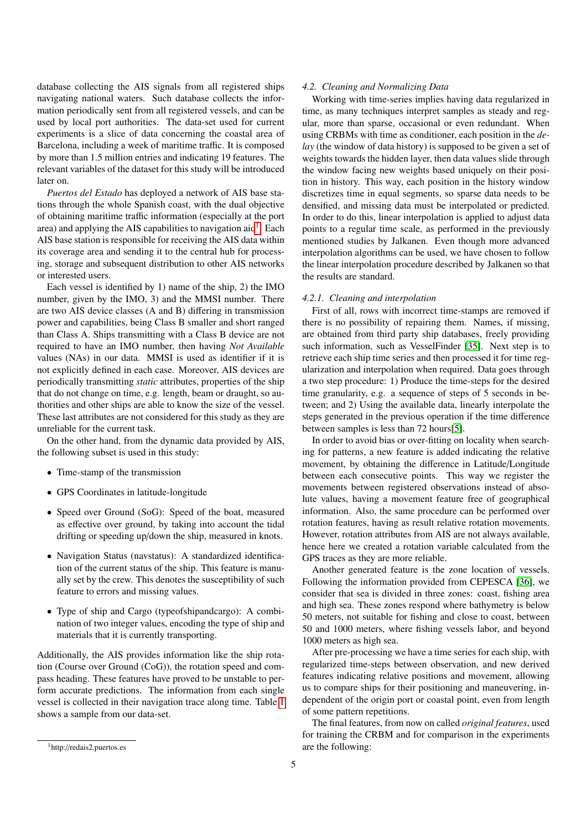database collecting the AIS signals from all registered ships navigating national waters. Such database collects the information periodically sent from all registered vessels, and can be used by local port authorities. The data-set used for current experiments is a slice of data concerning the coastal area of Barcelona, including a week of maritime traffic. It is composed by more than 1.5 million entries and indicating 19 features. The relevant variables of the dataset for this study will be introduced later on.

*Puertos del Estado* has deployed a network of AIS base stations through the whole Spanish coast, with the dual objective of obtaining maritime traffic information (especially at the port area) and applying the AIS capabilities to navigation aid<sup>[1](#page-4-0)</sup>. Each AIS base station is responsible for receiving the AIS data within its coverage area and sending it to the central hub for processing, storage and subsequent distribution to other AIS networks or interested users.

Each vessel is identified by 1) name of the ship, 2) the IMO number, given by the IMO, 3) and the MMSI number. There are two AIS device classes (A and B) differing in transmission power and capabilities, being Class B smaller and short ranged than Class A. Ships transmitting with a Class B device are not required to have an IMO number, then having *Not Available* values (NAs) in our data. MMSI is used as identifier if it is not explicitly defined in each case. Moreover, AIS devices are periodically transmitting *static* attributes, properties of the ship that do not change on time, e.g. length, beam or draught, so authorities and other ships are able to know the size of the vessel. These last attributes are not considered for this study as they are unreliable for the current task.

On the other hand, from the dynamic data provided by AIS, the following subset is used in this study:

- Time-stamp of the transmission
- GPS Coordinates in latitude-longitude
- Speed over Ground (SoG): Speed of the boat, measured as effective over ground, by taking into account the tidal drifting or speeding up/down the ship, measured in knots.
- Navigation Status (navstatus): A standardized identification of the current status of the ship. This feature is manually set by the crew. This denotes the susceptibility of such feature to errors and missing values.
- Type of ship and Cargo (typeofshipandcargo): A combination of two integer values, encoding the type of ship and materials that it is currently transporting.

Additionally, the AIS provides information like the ship rotation (Course over Ground (CoG)), the rotation speed and compass heading. These features have proved to be unstable to perform accurate predictions. The information from each single vessel is collected in their navigation trace along time. Table [1](#page-5-1) shows a sample from our data-set.

#### <span id="page-4-1"></span>*4.2. Cleaning and Normalizing Data*

Working with time-series implies having data regularized in time, as many techniques interpret samples as steady and regular, more than sparse, occasional or even redundant. When using CRBMs with time as conditioner, each position in the *delay* (the window of data history) is supposed to be given a set of weights towards the hidden layer, then data values slide through the window facing new weights based uniquely on their position in history. This way, each position in the history window discretizes time in equal segments, so sparse data needs to be densified, and missing data must be interpolated or predicted. In order to do this, linear interpolation is applied to adjust data points to a regular time scale, as performed in the previously mentioned studies by Jalkanen. Even though more advanced interpolation algorithms can be used, we have chosen to follow the linear interpolation procedure described by Jalkanen so that the results are standard.

#### *4.2.1. Cleaning and interpolation*

First of all, rows with incorrect time-stamps are removed if there is no possibility of repairing them. Names, if missing, are obtained from third party ship databases, freely providing such information, such as VesselFinder [\[35\]](#page-10-6). Next step is to retrieve each ship time series and then processed it for time regularization and interpolation when required. Data goes through a two step procedure: 1) Produce the time-steps for the desired time granularity, e.g. a sequence of steps of 5 seconds in between; and 2) Using the available data, linearly interpolate the steps generated in the previous operation if the time difference between samples is less than 72 hours[\[5\]](#page-9-4).

In order to avoid bias or over-fitting on locality when searching for patterns, a new feature is added indicating the relative movement, by obtaining the difference in Latitude/Longitude between each consecutive points. This way we register the movements between registered observations instead of absolute values, having a movement feature free of geographical information. Also, the same procedure can be performed over rotation features, having as result relative rotation movements. However, rotation attributes from AIS are not always available, hence here we created a rotation variable calculated from the GPS traces as they are more reliable.

Another generated feature is the zone location of vessels. Following the information provided from CEPESCA [\[36\]](#page-10-7), we consider that sea is divided in three zones: coast, fishing area and high sea. These zones respond where bathymetry is below 50 meters, not suitable for fishing and close to coast, between 50 and 1000 meters, where fishing vessels labor, and beyond 1000 meters as high sea.

After pre-processing we have a time series for each ship, with regularized time-steps between observation, and new derived features indicating relative positions and movement, allowing us to compare ships for their positioning and maneuvering, independent of the origin port or coastal point, even from length of some pattern repetitions.

The final features, from now on called *original features*, used for training the CRBM and for comparison in the experiments are the following:

<span id="page-4-0"></span><sup>1</sup>http://redais2.puertos.es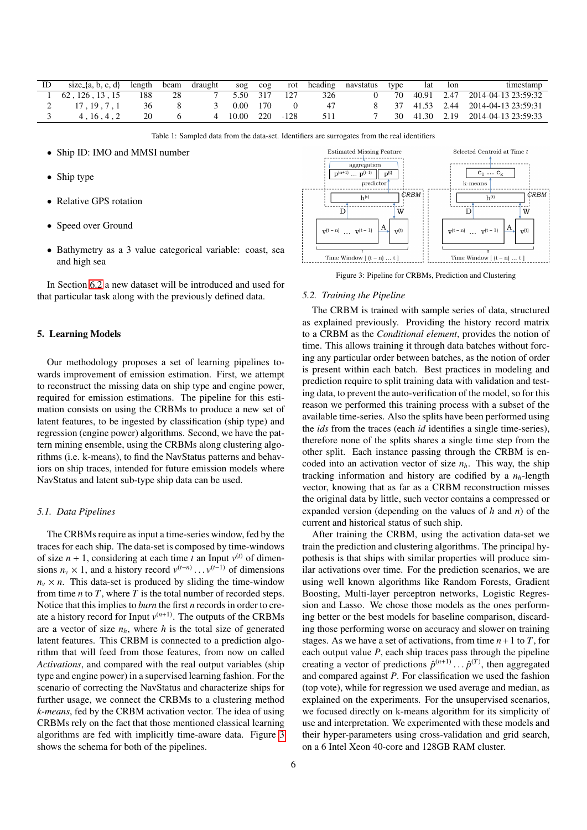| ID | size_{a, b, c, d} | length | beam | draught | $\frac{1}{2}$ | $\sim$ cog |          | rot heading | navstatus | type | lat lon | timestamp                           |
|----|-------------------|--------|------|---------|---------------|------------|----------|-------------|-----------|------|---------|-------------------------------------|
|    | 62.126.13.15      | 188    | 28   |         | 5.50 317 127  |            |          | 326         |           |      |         | 70 40.91 2.47 2014-04-13 23:59:32   |
|    | 17.19.7.1         | 36     |      |         | 0.00          | 170        |          |             |           |      |         | 8 37 41.53 2.44 2014-04-13 23:59:31 |
|    | 4.16.4.2          | 20     |      | 4       | -10.00        |            | 220 -128 | 511         |           |      |         | 30 41.30 2.19 2014-04-13 23:59:33   |

<span id="page-5-1"></span>Table 1: Sampled data from the data-set. Identifiers are surrogates from the real identifiers

- Ship ID: IMO and MMSI number
- Ship type
- Relative GPS rotation
- Speed over Ground
- Bathymetry as a 3 value categorical variable: coast, sea and high sea

In Section [6.2](#page-6-1) a new dataset will be introduced and used for that particular task along with the previously defined data.

#### <span id="page-5-0"></span>5. Learning Models

Our methodology proposes a set of learning pipelines towards improvement of emission estimation. First, we attempt to reconstruct the missing data on ship type and engine power, required for emission estimations. The pipeline for this estimation consists on using the CRBMs to produce a new set of latent features, to be ingested by classification (ship type) and regression (engine power) algorithms. Second, we have the pattern mining ensemble, using the CRBMs along clustering algorithms (i.e. k-means), to find the NavStatus patterns and behaviors on ship traces, intended for future emission models where NavStatus and latent sub-type ship data can be used.

# *5.1. Data Pipelines*

The CRBMs require as input a time-series window, fed by the traces for each ship. The data-set is composed by time-windows of size  $n + 1$ , considering at each time *t* an Input  $v^{(t)}$  of dimensions  $n_v \times 1$ , and a history record  $v^{(t-n)} \dots v^{(t-1)}$  of dimensions  $n_v \times n_v$ . This data-set is produced by sliding the time-window  $n_v \times n$ . This data-set is produced by sliding the time-window from time *n* to *T*, where *T* is the total number of recorded steps. Notice that this implies to *burn* the first *n* records in order to create a history record for Input  $v^{(n+1)}$ . The outputs of the CRBMs are a vector of size  $n_h$ , where  $h$  is the total size of generated latent features. This CRBM is connected to a prediction algorithm that will feed from those features, from now on called *Activations*, and compared with the real output variables (ship type and engine power) in a supervised learning fashion. For the scenario of correcting the NavStatus and characterize ships for further usage, we connect the CRBMs to a clustering method *k-means*, fed by the CRBM activation vector. The idea of using CRBMs rely on the fact that those mentioned classical learning algorithms are fed with implicitly time-aware data. Figure [3](#page-5-2) shows the schema for both of the pipelines.



<span id="page-5-2"></span>Figure 3: Pipeline for CRBMs, Prediction and Clustering

#### *5.2. Training the Pipeline*

The CRBM is trained with sample series of data, structured as explained previously. Providing the history record matrix to a CRBM as the *Conditional element*, provides the notion of time. This allows training it through data batches without forcing any particular order between batches, as the notion of order is present within each batch. Best practices in modeling and prediction require to split training data with validation and testing data, to prevent the auto-verification of the model, so for this reason we performed this training process with a subset of the available time-series. Also the splits have been performed using the *ids* from the traces (each *id* identifies a single time-series), therefore none of the splits shares a single time step from the other split. Each instance passing through the CRBM is encoded into an activation vector of size  $n_h$ . This way, the ship tracking information and history are codified by a *nh*-length vector, knowing that as far as a CRBM reconstruction misses the original data by little, such vector contains a compressed or expanded version (depending on the values of *h* and *n*) of the current and historical status of such ship.

After training the CRBM, using the activation data-set we train the prediction and clustering algorithms. The principal hypothesis is that ships with similar properties will produce similar activations over time. For the prediction scenarios, we are using well known algorithms like Random Forests, Gradient Boosting, Multi-layer perceptron networks, Logistic Regression and Lasso. We chose those models as the ones performing better or the best models for baseline comparison, discarding those performing worse on accuracy and slower on training stages. As we have a set of activations, from time  $n+1$  to  $T$ , for each output value *P*, each ship traces pass through the pipeline creating a vector of predictions  $\hat{p}^{(n+1)} \dots \hat{p}^{(T)}$ , then aggregated<br>and compared against P. For classification we used the fashion and compared against *P*. For classification we used the fashion (top vote), while for regression we used average and median, as explained on the experiments. For the unsupervised scenarios, we focused directly on k-means algorithm for its simplicity of use and interpretation. We experimented with these models and their hyper-parameters using cross-validation and grid search, on a 6 Intel Xeon 40-core and 128GB RAM cluster.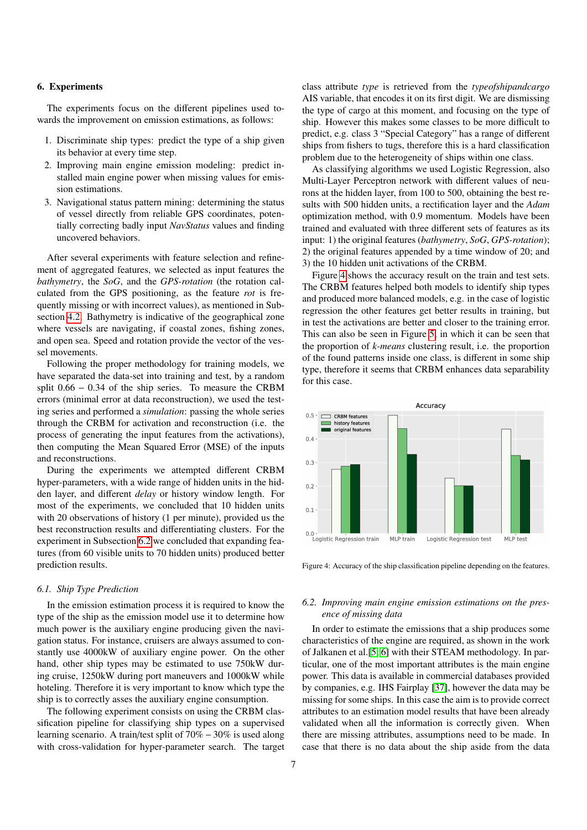#### <span id="page-6-0"></span>6. Experiments

The experiments focus on the different pipelines used towards the improvement on emission estimations, as follows:

- 1. Discriminate ship types: predict the type of a ship given its behavior at every time step.
- 2. Improving main engine emission modeling: predict installed main engine power when missing values for emission estimations.
- 3. Navigational status pattern mining: determining the status of vessel directly from reliable GPS coordinates, potentially correcting badly input *NavStatus* values and finding uncovered behaviors.

After several experiments with feature selection and refinement of aggregated features, we selected as input features the *bathymetry*, the *SoG*, and the *GPS-rotation* (the rotation calculated from the GPS positioning, as the feature *rot* is frequently missing or with incorrect values), as mentioned in Subsection [4.2.](#page-4-1) Bathymetry is indicative of the geographical zone where vessels are navigating, if coastal zones, fishing zones, and open sea. Speed and rotation provide the vector of the vessel movements.

Following the proper methodology for training models, we have separated the data-set into training and test, by a random split 0.<sup>66</sup> <sup>−</sup> <sup>0</sup>.34 of the ship series. To measure the CRBM errors (minimal error at data reconstruction), we used the testing series and performed a *simulation*: passing the whole series through the CRBM for activation and reconstruction (i.e. the process of generating the input features from the activations), then computing the Mean Squared Error (MSE) of the inputs and reconstructions.

During the experiments we attempted different CRBM hyper-parameters, with a wide range of hidden units in the hidden layer, and different *delay* or history window length. For most of the experiments, we concluded that 10 hidden units with 20 observations of history (1 per minute), provided us the best reconstruction results and differentiating clusters. For the experiment in Subsection [6.2](#page-6-1) we concluded that expanding features (from 60 visible units to 70 hidden units) produced better prediction results.

# <span id="page-6-3"></span>*6.1. Ship Type Prediction*

In the emission estimation process it is required to know the type of the ship as the emission model use it to determine how much power is the auxiliary engine producing given the navigation status. For instance, cruisers are always assumed to constantly use 4000kW of auxiliary engine power. On the other hand, other ship types may be estimated to use 750kW during cruise, 1250kW during port maneuvers and 1000kW while hoteling. Therefore it is very important to know which type the ship is to correctly asses the auxiliary engine consumption.

The following experiment consists on using the CRBM classification pipeline for classifying ship types on a supervised learning scenario. A train/test split of 70% − 30% is used along with cross-validation for hyper-parameter search. The target

class attribute *type* is retrieved from the *typeofshipandcargo* AIS variable, that encodes it on its first digit. We are dismissing the type of cargo at this moment, and focusing on the type of ship. However this makes some classes to be more difficult to predict, e.g. class 3 "Special Category" has a range of different ships from fishers to tugs, therefore this is a hard classification problem due to the heterogeneity of ships within one class.

As classifying algorithms we used Logistic Regression, also Multi-Layer Perceptron network with different values of neurons at the hidden layer, from 100 to 500, obtaining the best results with 500 hidden units, a rectification layer and the *Adam* optimization method, with 0.9 momentum. Models have been trained and evaluated with three different sets of features as its input: 1) the original features (*bathymetry*, *SoG*, *GPS-rotation*); 2) the original features appended by a time window of 20; and 3) the 10 hidden unit activations of the CRBM.

Figure [4](#page-6-2) shows the accuracy result on the train and test sets. The CRBM features helped both models to identify ship types and produced more balanced models, e.g. in the case of logistic regression the other features get better results in training, but in test the activations are better and closer to the training error. This can also be seen in Figure [5,](#page-7-0) in which it can be seen that the proportion of *k-means* clustering result, i.e. the proportion of the found patterns inside one class, is different in some ship type, therefore it seems that CRBM enhances data separability for this case.



<span id="page-6-2"></span>Figure 4: Accuracy of the ship classification pipeline depending on the features.

# <span id="page-6-1"></span>*6.2. Improving main engine emission estimations on the presence of missing data*

In order to estimate the emissions that a ship produces some characteristics of the engine are required, as shown in the work of Jalkanen et al.[\[5,](#page-9-4) [6\]](#page-9-5) with their STEAM methodology. In particular, one of the most important attributes is the main engine power. This data is available in commercial databases provided by companies, e.g. IHS Fairplay [\[37\]](#page-10-8), however the data may be missing for some ships. In this case the aim is to provide correct attributes to an estimation model results that have been already validated when all the information is correctly given. When there are missing attributes, assumptions need to be made. In case that there is no data about the ship aside from the data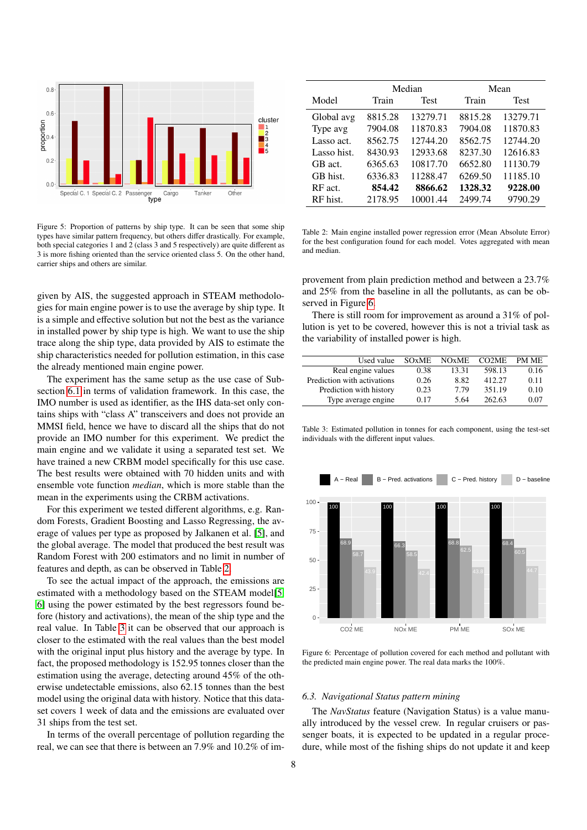

<span id="page-7-0"></span>Figure 5: Proportion of patterns by ship type. It can be seen that some ship types have similar pattern frequency, but others differ drastically. For example, both special categories 1 and 2 (class 3 and 5 respectively) are quite different as 3 is more fishing oriented than the service oriented class 5. On the other hand, carrier ships and others are similar.

given by AIS, the suggested approach in STEAM methodologies for main engine power is to use the average by ship type. It is a simple and effective solution but not the best as the variance in installed power by ship type is high. We want to use the ship trace along the ship type, data provided by AIS to estimate the ship characteristics needed for pollution estimation, in this case the already mentioned main engine power.

The experiment has the same setup as the use case of Subsection [6.1](#page-6-3) in terms of validation framework. In this case, the IMO number is used as identifier, as the IHS data-set only contains ships with "class A" transceivers and does not provide an MMSI field, hence we have to discard all the ships that do not provide an IMO number for this experiment. We predict the main engine and we validate it using a separated test set. We have trained a new CRBM model specifically for this use case. The best results were obtained with 70 hidden units and with ensemble vote function *median*, which is more stable than the mean in the experiments using the CRBM activations.

For this experiment we tested different algorithms, e.g. Random Forests, Gradient Boosting and Lasso Regressing, the average of values per type as proposed by Jalkanen et al. [\[5\]](#page-9-4), and the global average. The model that produced the best result was Random Forest with 200 estimators and no limit in number of features and depth, as can be observed in Table [2.](#page-7-1)

To see the actual impact of the approach, the emissions are estimated with a methodology based on the STEAM model[\[5,](#page-9-4) [6\]](#page-9-5) using the power estimated by the best regressors found before (history and activations), the mean of the ship type and the real value. In Table [3](#page-7-2) it can be observed that our approach is closer to the estimated with the real values than the best model with the original input plus history and the average by type. In fact, the proposed methodology is 152.95 tonnes closer than the estimation using the average, detecting around 45% of the otherwise undetectable emissions, also 62.15 tonnes than the best model using the original data with history. Notice that this dataset covers 1 week of data and the emissions are evaluated over 31 ships from the test set.

In terms of the overall percentage of pollution regarding the real, we can see that there is between an 7.9% and 10.2% of im-

|             |         | Median      | Mean    |             |  |  |
|-------------|---------|-------------|---------|-------------|--|--|
| Model       | Train   | <b>Test</b> | Train   | <b>Test</b> |  |  |
| Global avg  | 8815.28 | 13279.71    | 8815.28 | 13279.71    |  |  |
| Type avg    | 7904.08 | 11870.83    | 7904.08 | 11870.83    |  |  |
| Lasso act.  | 8562.75 | 12744.20    | 8562.75 | 12744.20    |  |  |
| Lasso hist. | 8430.93 | 12933.68    | 8237.30 | 12616.83    |  |  |
| GB act.     | 6365.63 | 10817.70    | 6652.80 | 11130.79    |  |  |
| GB hist.    | 6336.83 | 11288.47    | 6269.50 | 11185.10    |  |  |
| RF act.     | 854.42  | 8866.62     | 1328.32 | 9228.00     |  |  |
| RF hist.    | 2178.95 | 10001.44    | 2499.74 | 9790.29     |  |  |

<span id="page-7-1"></span>Table 2: Main engine installed power regression error (Mean Absolute Error) for the best configuration found for each model. Votes aggregated with mean and median.

provement from plain prediction method and between a 23.7% and 25% from the baseline in all the pollutants, as can be observed in Figure [6.](#page-7-3)

There is still room for improvement as around a 31% of pollution is yet to be covered, however this is not a trivial task as the variability of installed power is high.

| Used value                  | <b>SO<sub>x</sub>ME</b> | <b>NOxME</b> | CO <sub>2</sub> ME | PM ME |
|-----------------------------|-------------------------|--------------|--------------------|-------|
| Real engine values          | 0.38                    | 13.31        | 598.13             | 0.16  |
| Prediction with activations | 0.26                    | 8.82         | 412.27             | 0.11  |
| Prediction with history     | 0.23                    | 7.79         | 351.19             | 0.10  |
| Type average engine.        | 0.17                    | 5.64         | 262.63             | 0.07  |

<span id="page-7-2"></span>Table 3: Estimated pollution in tonnes for each component, using the test-set individuals with the different input values.



<span id="page-7-3"></span>Figure 6: Percentage of pollution covered for each method and pollutant with the predicted main engine power. The real data marks the 100%.

# *6.3. Navigational Status pattern mining*

The *NavStatus* feature (Navigation Status) is a value manually introduced by the vessel crew. In regular cruisers or passenger boats, it is expected to be updated in a regular procedure, while most of the fishing ships do not update it and keep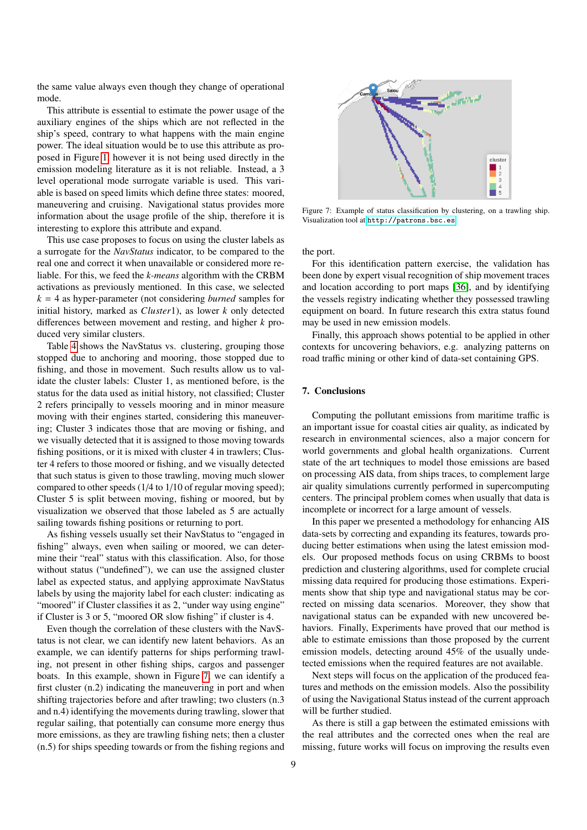the same value always even though they change of operational mode.

This attribute is essential to estimate the power usage of the auxiliary engines of the ships which are not reflected in the ship's speed, contrary to what happens with the main engine power. The ideal situation would be to use this attribute as proposed in Figure [1,](#page-2-1) however it is not being used directly in the emission modeling literature as it is not reliable. Instead, a 3 level operational mode surrogate variable is used. This variable is based on speed limits which define three states: moored, maneuvering and cruising. Navigational status provides more information about the usage profile of the ship, therefore it is interesting to explore this attribute and expand.

This use case proposes to focus on using the cluster labels as a surrogate for the *NavStatus* indicator, to be compared to the real one and correct it when unavailable or considered more reliable. For this, we feed the *k-means* algorithm with the CRBM activations as previously mentioned. In this case, we selected *k* = 4 as hyper-parameter (not considering *burned* samples for initial history, marked as *Cluster*1), as lower *k* only detected differences between movement and resting, and higher *k* produced very similar clusters.

Table [4](#page-9-28) shows the NavStatus vs. clustering, grouping those stopped due to anchoring and mooring, those stopped due to fishing, and those in movement. Such results allow us to validate the cluster labels: Cluster 1, as mentioned before, is the status for the data used as initial history, not classified; Cluster 2 refers principally to vessels mooring and in minor measure moving with their engines started, considering this maneuvering; Cluster 3 indicates those that are moving or fishing, and we visually detected that it is assigned to those moving towards fishing positions, or it is mixed with cluster 4 in trawlers; Cluster 4 refers to those moored or fishing, and we visually detected that such status is given to those trawling, moving much slower compared to other speeds (1/4 to 1/10 of regular moving speed); Cluster 5 is split between moving, fishing or moored, but by visualization we observed that those labeled as 5 are actually sailing towards fishing positions or returning to port.

As fishing vessels usually set their NavStatus to "engaged in fishing" always, even when sailing or moored, we can determine their "real" status with this classification. Also, for those without status ("undefined"), we can use the assigned cluster label as expected status, and applying approximate NavStatus labels by using the majority label for each cluster: indicating as "moored" if Cluster classifies it as 2, "under way using engine" if Cluster is 3 or 5, "moored OR slow fishing" if cluster is 4.

Even though the correlation of these clusters with the NavStatus is not clear, we can identify new latent behaviors. As an example, we can identify patterns for ships performing trawling, not present in other fishing ships, cargos and passenger boats. In this example, shown in Figure [7,](#page-8-1) we can identify a first cluster (n.2) indicating the maneuvering in port and when shifting trajectories before and after trawling; two clusters (n.3 and n.4) identifying the movements during trawling, slower that regular sailing, that potentially can consume more energy thus more emissions, as they are trawling fishing nets; then a cluster (n.5) for ships speeding towards or from the fishing regions and



<span id="page-8-1"></span>Figure 7: Example of status classification by clustering, on a trawling ship. Visualization tool at <http://patrons.bsc.es>.

the port.

For this identification pattern exercise, the validation has been done by expert visual recognition of ship movement traces and location according to port maps [\[36\]](#page-10-7), and by identifying the vessels registry indicating whether they possessed trawling equipment on board. In future research this extra status found may be used in new emission models.

Finally, this approach shows potential to be applied in other contexts for uncovering behaviors, e.g. analyzing patterns on road traffic mining or other kind of data-set containing GPS.

### <span id="page-8-0"></span>7. Conclusions

Computing the pollutant emissions from maritime traffic is an important issue for coastal cities air quality, as indicated by research in environmental sciences, also a major concern for world governments and global health organizations. Current state of the art techniques to model those emissions are based on processing AIS data, from ships traces, to complement large air quality simulations currently performed in supercomputing centers. The principal problem comes when usually that data is incomplete or incorrect for a large amount of vessels.

In this paper we presented a methodology for enhancing AIS data-sets by correcting and expanding its features, towards producing better estimations when using the latest emission models. Our proposed methods focus on using CRBMs to boost prediction and clustering algorithms, used for complete crucial missing data required for producing those estimations. Experiments show that ship type and navigational status may be corrected on missing data scenarios. Moreover, they show that navigational status can be expanded with new uncovered behaviors. Finally, Experiments have proved that our method is able to estimate emissions than those proposed by the current emission models, detecting around 45% of the usually undetected emissions when the required features are not available.

Next steps will focus on the application of the produced features and methods on the emission models. Also the possibility of using the Navigational Status instead of the current approach will be further studied.

As there is still a gap between the estimated emissions with the real attributes and the corrected ones when the real are missing, future works will focus on improving the results even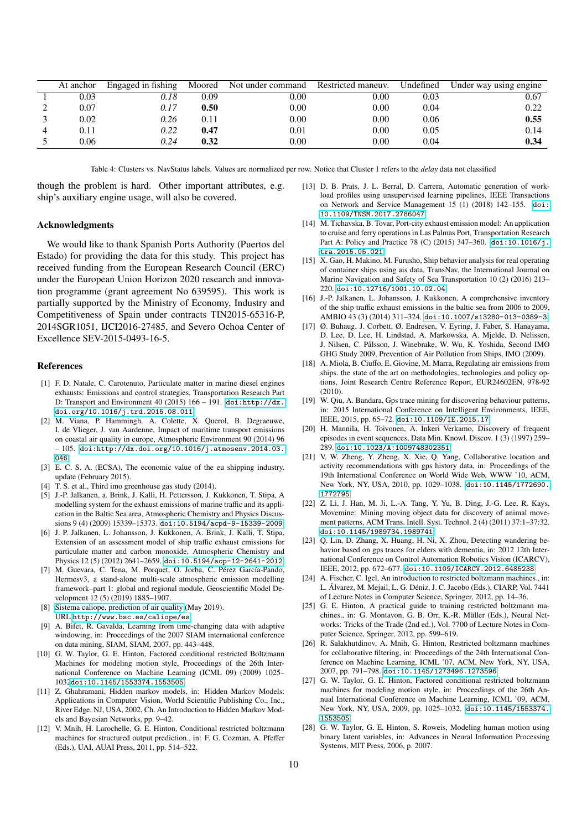| At anchor | Engaged in fishing | Moored | Not under command | Restricted maneuv. | Undefined | Under way using engine |
|-----------|--------------------|--------|-------------------|--------------------|-----------|------------------------|
| 0.03      | 0.18               | 0.09   | 0.00              | 0.00               | 0.03      | 0.67                   |
| 0.07      | 0.17               | 0.50   | 0.00              | 0.00               | 0.04      | 0.22                   |
| 0.02      | 0.26               | 0.11   | 0.00              | 0.00               | 0.06      | 0.55                   |
| 0.11      | 0.22               | 0.47   | 0.01              | 0.00               | 0.05      | 0.14                   |
| 0.06      | 0.24               | 0.32   | $0.00\,$          | 0.00               | 0.04      | 0.34                   |

<span id="page-9-28"></span>Table 4: Clusters vs. NavStatus labels. Values are normalized per row. Notice that Cluster 1 refers to the *delay* data not classified

though the problem is hard. Other important attributes, e.g. ship's auxiliary engine usage, will also be covered.

### Acknowledgments

We would like to thank Spanish Ports Authority (Puertos del Estado) for providing the data for this study. This project has received funding from the European Research Council (ERC) under the European Union Horizon 2020 research and innovation programme (grant agreement No 639595). This work is partially supported by the Ministry of Economy, Industry and Competitiveness of Spain under contracts TIN2015-65316-P, 2014SGR1051, IJCI2016-27485, and Severo Ochoa Center of Excellence SEV-2015-0493-16-5.

### References

- <span id="page-9-0"></span>[1] F. D. Natale, C. Carotenuto, Particulate matter in marine diesel engines exhausts: Emissions and control strategies, Transportation Research Part D: Transport and Environment 40 (2015) 166 – 191. [doi:http://dx.](https://doi.org/http://dx.doi.org/10.1016/j.trd.2015.08.011) [doi.org/10.1016/j.trd.2015.08.011](https://doi.org/http://dx.doi.org/10.1016/j.trd.2015.08.011).
- <span id="page-9-1"></span>[2] M. Viana, P. Hammingh, A. Colette, X. Querol, B. Degraeuwe, I. de Vlieger, J. van Aardenne, Impact of maritime transport emissions on coastal air quality in europe, Atmospheric Environment 90 (2014) 96 – 105. [doi:http://dx.doi.org/10.1016/j.atmosenv.2014.03.](https://doi.org/http://dx.doi.org/10.1016/j.atmosenv.2014.03.046) [046](https://doi.org/http://dx.doi.org/10.1016/j.atmosenv.2014.03.046).
- <span id="page-9-2"></span>[3] E. C. S. A. (ECSA), The economic value of the eu shipping industry. update (February 2015).
- <span id="page-9-3"></span>[4] T. S. et al., Third imo greenhouse gas study (2014).
- <span id="page-9-4"></span>[5] J.-P. Jalkanen, a. Brink, J. Kalli, H. Pettersson, J. Kukkonen, T. Stipa, A modelling system for the exhaust emissions of marine traffic and its application in the Baltic Sea area, Atmospheric Chemistry and Physics Discussions 9 (4) (2009) 15339–15373. [doi:10.5194/acpd-9-15339-2009](https://doi.org/10.5194/acpd-9-15339-2009).
- <span id="page-9-5"></span>[6] J. P. Jalkanen, L. Johansson, J. Kukkonen, A. Brink, J. Kalli, T. Stipa, Extension of an assessment model of ship traffic exhaust emissions for particulate matter and carbon monoxide, Atmospheric Chemistry and Physics 12 (5) (2012) 2641–2659. [doi:10.5194/acp-12-2641-2012](https://doi.org/10.5194/acp-12-2641-2012).
- <span id="page-9-6"></span>[7] M. Guevara, C. Tena, M. Porquet, O. Jorba, C. Pérez García-Pando, Hermesv3, a stand-alone multi-scale atmospheric emission modelling framework–part 1: global and regional module, Geoscientific Model Development 12 (5) (2019) 1885–1907.
- <span id="page-9-7"></span>[8] [Sistema caliope, prediction of air quality](http://www.bsc.es/caliope/es) (May 2019). URL <http://www.bsc.es/caliope/es>
- <span id="page-9-8"></span>[9] A. Bifet, R. Gavalda, Learning from time-changing data with adaptive windowing, in: Proceedings of the 2007 SIAM international conference on data mining, SIAM, SIAM, 2007, pp. 443–448.
- <span id="page-9-9"></span>[10] G. W. Taylor, G. E. Hinton, Factored conditional restricted Boltzmann Machines for modeling motion style, Proceedings of the 26th International Conference on Machine Learning (ICML 09) (2009) 1025– 1032[doi:10.1145/1553374.1553505](https://doi.org/10.1145/1553374.1553505).
- <span id="page-9-10"></span>[11] Z. Ghahramani, Hidden markov models, in: Hidden Markov Models: Applications in Computer Vision, World Scientific Publishing Co., Inc., River Edge, NJ, USA, 2002, Ch. An Introduction to Hidden Markov Models and Bayesian Networks, pp. 9–42.
- <span id="page-9-11"></span>[12] V. Mnih, H. Larochelle, G. E. Hinton, Conditional restricted boltzmann machines for structured output prediction., in: F. G. Cozman, A. Pfeffer (Eds.), UAI, AUAI Press, 2011, pp. 514–522.
- <span id="page-9-12"></span>[13] D. B. Prats, J. L. Berral, D. Carrera, Automatic generation of workload profiles using unsupervised learning pipelines, IEEE Transactions on Network and Service Management 15 (1) (2018) 142–155. [doi:](https://doi.org/10.1109/TNSM.2017.2786047) [10.1109/TNSM.2017.2786047](https://doi.org/10.1109/TNSM.2017.2786047).
- <span id="page-9-13"></span>[14] M. Tichavska, B. Tovar, Port-city exhaust emission model: An application to cruise and ferry operations in Las Palmas Port, Transportation Research Part A: Policy and Practice 78 (C) (2015) 347–360. [doi:10.1016/j.](https://doi.org/10.1016/j.tra.2015.05.021) [tra.2015.05.021](https://doi.org/10.1016/j.tra.2015.05.021).
- <span id="page-9-14"></span>[15] X. Gao, H. Makino, M. Furusho, Ship behavior analysis for real operating of container ships using ais data, TransNav, the International Journal on Marine Navigation and Safety of Sea Transportation 10 (2) (2016) 213– 220. [doi:10.12716/1001.10.02.04](https://doi.org/10.12716/1001.10.02.04).
- <span id="page-9-15"></span>[16] J.-P. Jalkanen, L. Johansson, J. Kukkonen, A comprehensive inventory of the ship traffic exhaust emissions in the baltic sea from 2006 to 2009, AMBIO 43 (3) (2014) 311–324. [doi:10.1007/s13280-013-0389-3](https://doi.org/10.1007/s13280-013-0389-3).
- <span id="page-9-16"></span>[17] Ø. Buhaug, J. Corbett, Ø. Endresen, V. Eyring, J. Faber, S. Hanayama, D. Lee, D. Lee, H. Lindstad, A. Markowska, A. Mjelde, D. Nelissen, J. Nilsen, C. Pålsson, J. Winebrake, W. Wu, K. Yoshida, Second IMO GHG Study 2009, Prevention of Air Pollution from Ships, IMO (2009).
- <span id="page-9-17"></span>[18] A. Miola, B. Ciuffo, E. Giovine, M. Marra, Regulating air emissions from ships. the state of the art on methodologies, technologies and policy options, Joint Research Centre Reference Report, EUR24602EN, 978-92 (2010).
- <span id="page-9-18"></span>[19] W. Qiu, A. Bandara, Gps trace mining for discovering behaviour patterns, in: 2015 International Conference on Intelligent Environments, IEEE, IEEE, 2015, pp. 65–72. [doi:10.1109/IE.2015.17](https://doi.org/10.1109/IE.2015.17).
- <span id="page-9-19"></span>[20] H. Mannila, H. Toivonen, A. Inkeri Verkamo, Discovery of frequent episodes in event sequences, Data Min. Knowl. Discov. 1 (3) (1997) 259– 289. [doi:10.1023/A:1009748302351](https://doi.org/10.1023/A:1009748302351).
- <span id="page-9-20"></span>[21] V. W. Zheng, Y. Zheng, X. Xie, Q. Yang, Collaborative location and activity recommendations with gps history data, in: Proceedings of the 19th International Conference on World Wide Web, WWW '10, ACM, New York, NY, USA, 2010, pp. 1029–1038. [doi:10.1145/1772690.](https://doi.org/10.1145/1772690.1772795) [1772795](https://doi.org/10.1145/1772690.1772795).
- <span id="page-9-21"></span>[22] Z. Li, J. Han, M. Ji, L.-A. Tang, Y. Yu, B. Ding, J.-G. Lee, R. Kays, Movemine: Mining moving object data for discovery of animal movement patterns, ACM Trans. Intell. Syst. Technol. 2 (4) (2011) 37:1–37:32. [doi:10.1145/1989734.1989741](https://doi.org/10.1145/1989734.1989741).
- <span id="page-9-22"></span>[23] Q. Lin, D. Zhang, X. Huang, H. Ni, X. Zhou, Detecting wandering behavior based on gps traces for elders with dementia, in: 2012 12th International Conference on Control Automation Robotics Vision (ICARCV), IEEE, 2012, pp. 672–677. [doi:10.1109/ICARCV.2012.6485238](https://doi.org/10.1109/ICARCV.2012.6485238).
- <span id="page-9-23"></span>[24] A. Fischer, C. Igel, An introduction to restricted boltzmann machines., in: L. Álvarez, M. Mejail, L. G. Déniz, J. C. Jacobo (Eds.), CIARP, Vol. 7441 of Lecture Notes in Computer Science, Springer, 2012, pp. 14–36.
- <span id="page-9-24"></span>[25] G. E. Hinton, A practical guide to training restricted boltzmann machines., in: G. Montavon, G. B. Orr, K.-R. Müller (Eds.), Neural Networks: Tricks of the Trade (2nd ed.), Vol. 7700 of Lecture Notes in Computer Science, Springer, 2012, pp. 599–619.
- <span id="page-9-25"></span>[26] R. Salakhutdinov, A. Mnih, G. Hinton, Restricted boltzmann machines for collaborative filtering, in: Proceedings of the 24th International Conference on Machine Learning, ICML '07, ACM, New York, NY, USA, 2007, pp. 791–798. [doi:10.1145/1273496.1273596](https://doi.org/10.1145/1273496.1273596).
- <span id="page-9-26"></span>[27] G. W. Taylor, G. E. Hinton, Factored conditional restricted boltzmann machines for modeling motion style, in: Proceedings of the 26th Annual International Conference on Machine Learning, ICML '09, ACM, New York, NY, USA, 2009, pp. 1025–1032. [doi:10.1145/1553374.](https://doi.org/10.1145/1553374.1553505) [1553505](https://doi.org/10.1145/1553374.1553505).
- <span id="page-9-27"></span>[28] G. W. Taylor, G. E. Hinton, S. Roweis, Modeling human motion using binary latent variables, in: Advances in Neural Information Processing Systems, MIT Press, 2006, p. 2007.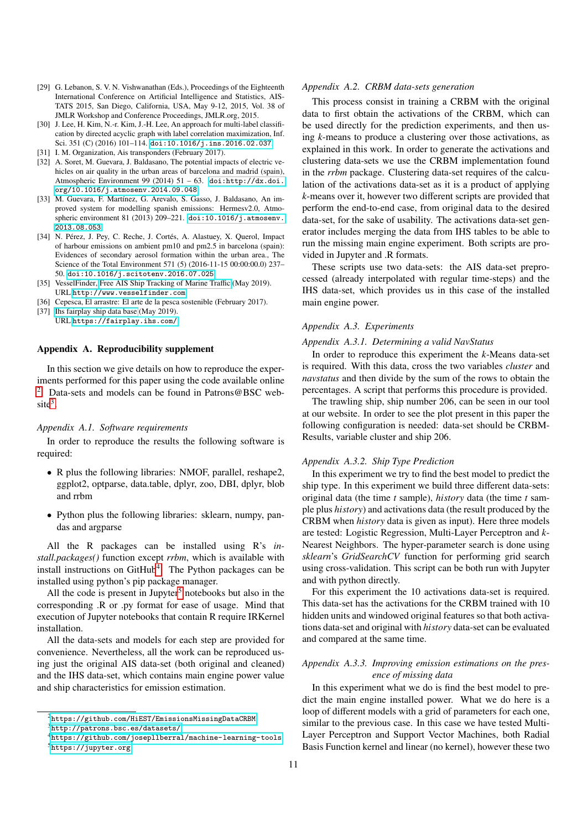- <span id="page-10-0"></span>[29] G. Lebanon, S. V. N. Vishwanathan (Eds.), Proceedings of the Eighteenth International Conference on Artificial Intelligence and Statistics, AIS-TATS 2015, San Diego, California, USA, May 9-12, 2015, Vol. 38 of JMLR Workshop and Conference Proceedings, JMLR.org, 2015.
- <span id="page-10-1"></span>[30] J. Lee, H. Kim, N.-r. Kim, J.-H. Lee, An approach for multi-label classification by directed acyclic graph with label correlation maximization, Inf. Sci. 351 (C) (2016) 101–114. [doi:10.1016/j.ins.2016.02.037](https://doi.org/10.1016/j.ins.2016.02.037).
- <span id="page-10-2"></span>[31] I. M. Organization, Ais transponders (February 2017).
- <span id="page-10-3"></span>[32] A. Soret, M. Guevara, J. Baldasano, The potential impacts of electric vehicles on air quality in the urban areas of barcelona and madrid (spain), Atmospheric Environment 99 (2014) 51 – 63. [doi:http://dx.doi.](https://doi.org/http://dx.doi.org/10.1016/j.atmosenv.2014.09.048) [org/10.1016/j.atmosenv.2014.09.048](https://doi.org/http://dx.doi.org/10.1016/j.atmosenv.2014.09.048).
- <span id="page-10-4"></span>[33] M. Guevara, F. Martínez, G. Arevalo, S. Gasso, J. Baldasano, An improved system for modelling spanish emissions: Hermesv2.0, Atmospheric environment 81 (2013) 209–221. [doi:10.1016/j.atmosenv.](https://doi.org/10.1016/j.atmosenv.2013.08.053) [2013.08.053](https://doi.org/10.1016/j.atmosenv.2013.08.053).
- <span id="page-10-5"></span>[34] N. Pérez, J. Pey, C. Reche, J. Cortés, A. Alastuey, X. Querol, Impact of harbour emissions on ambient pm10 and pm2.5 in barcelona (spain): Evidences of secondary aerosol formation within the urban area., The Science of the Total Environment 571 (5) (2016-11-15 00:00:00.0) 237– 50. [doi:10.1016/j.scitotenv.2016.07.025](https://doi.org/10.1016/j.scitotenv.2016.07.025).
- <span id="page-10-6"></span>[35] VesselFinder, [Free AIS Ship Tracking of Marine Tra](http://www.vesselfinder.com)ffic (May 2019). URL <http://www.vesselfinder.com>
- <span id="page-10-7"></span>[36] Cepesca, El arrastre: El arte de la pesca sostenible (February 2017).
- <span id="page-10-8"></span>[37] [Ihs fairplay ship data base](https://fairplay.ihs.com/) (May 2019). URL <https://fairplay.ihs.com/>

## Appendix A. Reproducibility supplement

In this section we give details on how to reproduce the experiments performed for this paper using the code available online <sup>[2](#page-10-9)</sup>. Data-sets and models can be found in Patrons@BSC web- $\text{site}^3$  $\text{site}^3$ .

### *Appendix A.1. Software requirements*

In order to reproduce the results the following software is required:

- R plus the following libraries: NMOF, parallel, reshape2, ggplot2, optparse, data.table, dplyr, zoo, DBI, dplyr, blob and rrbm
- Python plus the following libraries: sklearn, numpy, pandas and argparse

All the R packages can be installed using R's *install.packages()* function except *rrbm*, which is available with install instructions on GitHub<sup>[4](#page-10-11)</sup>. The Python packages can be installed using python's pip package manager.

All the code is present in Jupyter<sup>[5](#page-10-12)</sup> notebooks but also in the corresponding .R or .py format for ease of usage. Mind that execution of Jupyter notebooks that contain R require IRKernel installation.

All the data-sets and models for each step are provided for convenience. Nevertheless, all the work can be reproduced using just the original AIS data-set (both original and cleaned) and the IHS data-set, which contains main engine power value and ship characteristics for emission estimation.

### *Appendix A.2. CRBM data-sets generation*

This process consist in training a CRBM with the original data to first obtain the activations of the CRBM, which can be used directly for the prediction experiments, and then using *k*-means to produce a clustering over those activations, as explained in this work. In order to generate the activations and clustering data-sets we use the CRBM implementation found in the *rrbm* package. Clustering data-set requires of the calculation of the activations data-set as it is a product of applying *k*-means over it, however two different scripts are provided that perform the end-to-end case, from original data to the desired data-set, for the sake of usability. The activations data-set generator includes merging the data from IHS tables to be able to run the missing main engine experiment. Both scripts are provided in Jupyter and .R formats.

These scripts use two data-sets: the AIS data-set preprocessed (already interpolated with regular time-steps) and the IHS data-set, which provides us in this case of the installed main engine power.

### *Appendix A.3. Experiments*

#### *Appendix A.3.1. Determining a valid NavStatus*

In order to reproduce this experiment the *k*-Means data-set is required. With this data, cross the two variables *cluster* and *navstatus* and then divide by the sum of the rows to obtain the percentages. A script that performs this procedure is provided.

The trawling ship, ship number 206, can be seen in our tool at our website. In order to see the plot present in this paper the following configuration is needed: data-set should be CRBM-Results, variable cluster and ship 206.

### *Appendix A.3.2. Ship Type Prediction*

In this experiment we try to find the best model to predict the ship type. In this experiment we build three different data-sets: original data (the time *t* sample), *history* data (the time *t* sample plus *history*) and activations data (the result produced by the CRBM when *history* data is given as input). Here three models are tested: Logistic Regression, Multi-Layer Perceptron and *k*-Nearest Neighbors. The hyper-parameter search is done using *sklearn*'s *GridSearchCV* function for performing grid search using cross-validation. This script can be both run with Jupyter and with python directly.

For this experiment the 10 activations data-set is required. This data-set has the activations for the CRBM trained with 10 hidden units and windowed original features so that both activations data-set and original with *history* data-set can be evaluated and compared at the same time.

# *Appendix A.3.3. Improving emission estimations on the presence of missing data*

In this experiment what we do is find the best model to predict the main engine installed power. What we do here is a loop of different models with a grid of parameters for each one, similar to the previous case. In this case we have tested Multi-Layer Perceptron and Support Vector Machines, both Radial Basis Function kernel and linear (no kernel), however these two

<span id="page-10-9"></span> $2$ <https://github.com/HiEST/EmissionsMissingDataCRBM>

<span id="page-10-10"></span> $3$ <http://patrons.bsc.es/datasets/>

<span id="page-10-12"></span><span id="page-10-11"></span><sup>4</sup><https://github.com/josepllberral/machine-learning-tools> <sup>5</sup><https://jupyter.org>